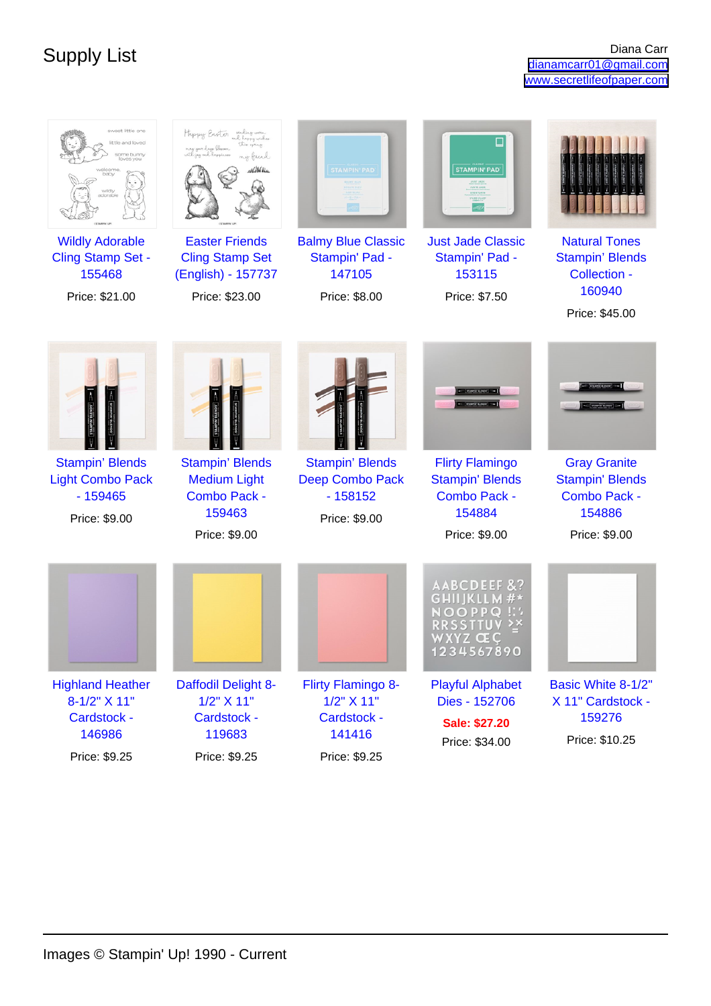| sweet little one<br>ittle and loved<br>iome bunny<br>Toves you<br>ded<br>sdorabl  | Happy Easter unling wom<br>my friend                                                     | <b>STAMPIN' PAD</b>                                                            | <b>STAMPIN' PAD</b>                                                                                |                                                                                            |
|-----------------------------------------------------------------------------------|------------------------------------------------------------------------------------------|--------------------------------------------------------------------------------|----------------------------------------------------------------------------------------------------|--------------------------------------------------------------------------------------------|
| <b>Wildly Adorable</b><br><b>Cling Stamp Set -</b><br>155468<br>Price: \$21.00    | <b>Easter Friends</b><br><b>Cling Stamp Set</b><br>(English) - 157737<br>Price: \$23.00  | <b>Balmy Blue Classic</b><br>Stampin' Pad -<br>147105<br>Price: \$8.00         | <b>Just Jade Classic</b><br>Stampin' Pad -<br>153115<br>Price: \$7.50                              | <b>Natural Tones</b><br><b>Stampin' Blends</b><br>Collection -<br>160940<br>Price: \$45.00 |
|                                                                                   |                                                                                          |                                                                                |                                                                                                    |                                                                                            |
| <b>Stampin' Blends</b><br><b>Light Combo Pack</b><br>$-159465$<br>Price: \$9.00   | <b>Stampin' Blends</b><br><b>Medium Light</b><br>Combo Pack -<br>159463<br>Price: \$9.00 | <b>Stampin' Blends</b><br><b>Deep Combo Pack</b><br>$-158152$<br>Price: \$9.00 | <b>Flirty Flamingo</b><br><b>Stampin' Blends</b><br><b>Combo Pack -</b><br>154884<br>Price: \$9.00 | <b>Gray Granite</b><br><b>Stampin' Blends</b><br>Combo Pack -<br>154886<br>Price: \$9.00   |
|                                                                                   |                                                                                          |                                                                                | <b>AABCDEEF</b><br>$\circ$<br>WXYZ ΂<br>1234567890                                                 |                                                                                            |
| <b>Highland Heather</b><br>8-1/2" X 11"<br>Cardstock -<br>146986<br>Price: \$9.25 | Daffodil Delight 8-<br>1/2" X 11"<br>Cardstock -<br>119683<br>Price: \$9.25              | Flirty Flamingo 8-<br>1/2" X 11"<br>Cardstock -<br>141416<br>Price: \$9.25     | <b>Playful Alphabet</b><br>Dies - 152706<br><b>Sale: \$27.20</b><br>Price: \$34.00                 | Basic White 8-1/2"<br>X 11" Cardstock -<br>159276<br>Price: \$10.25                        |